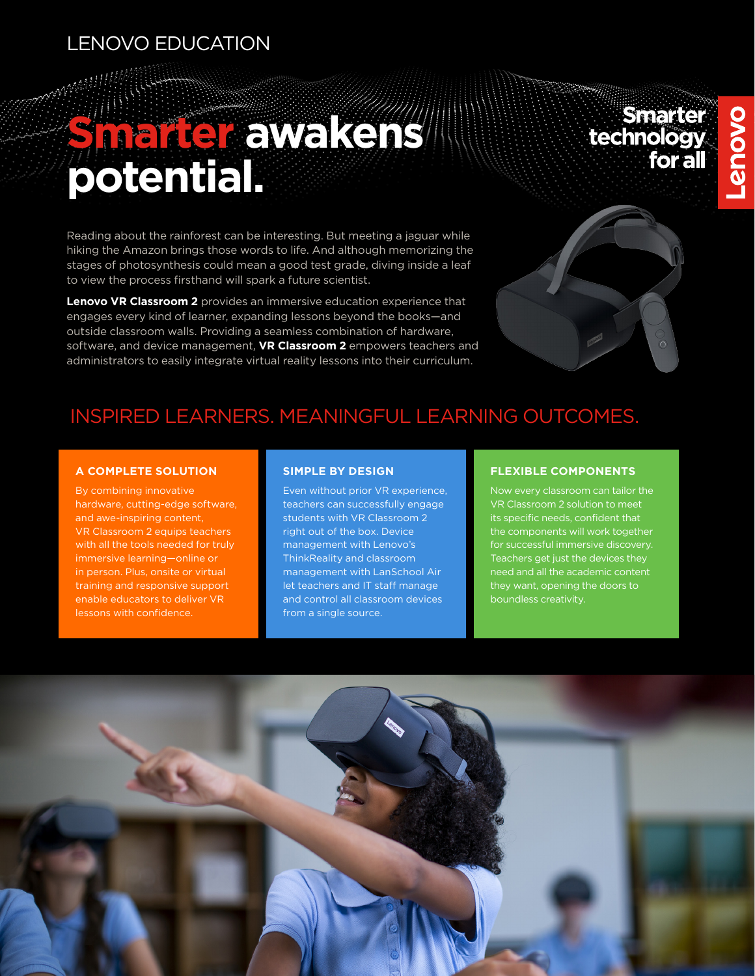## LENOVO EDUCATION

## **Smarter awakens potential.**

Reading about the rainforest can be interesting. But meeting a jaguar while hiking the Amazon brings those words to life. And although memorizing the stages of photosynthesis could mean a good test grade, diving inside a leaf to view the process firsthand will spark a future scientist.

**Lenovo VR Classroom 2** provides an immersive education experience that engages every kind of learner, expanding lessons beyond the books—and outside classroom walls. Providing a seamless combination of hardware, software, and device management, **VR Classroom 2** empowers teachers and administrators to easily integrate virtual reality lessons into their curriculum.

# Smarter<br>technology<br>for all



## INSPIRED LEARNERS. MEANINGFUL LEARNING OUTCOMES.

#### **A COMPLETE SOLUTION**

By combining innovative hardware, cutting-edge software, and awe-inspiring content, VR Classroom 2 equips teachers with all the tools needed for truly immersive learning—online or in person. Plus, onsite or virtual training and responsive support enable educators to deliver VR lessons with confidence.

#### **SIMPLE BY DESIGN**

Even without prior VR experience, teachers can successfully engage students with VR Classroom 2 right out of the box. Device management with Lenovo's ThinkReality and classroom management with LanSchool Air let teachers and IT staff manage and control all classroom devices from a single source.

#### **FLEXIBLE COMPONENTS**

Now every classroom can tailor the VR Classroom 2 solution to meet its specific needs, confident that the components will work together for successful immersive discovery. Teachers get just the devices they need and all the academic content they want, opening the doors to boundless creativity.